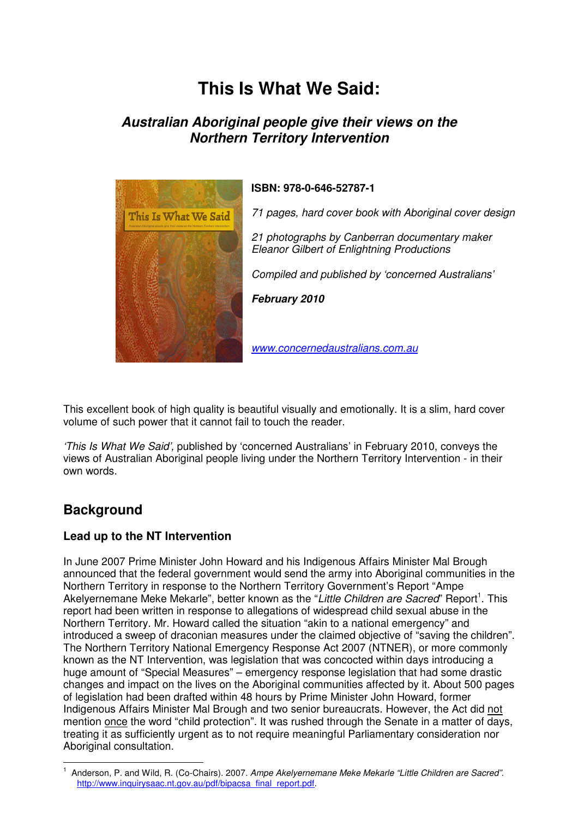# **This Is What We Said:**

# **Australian Aboriginal people give their views on the Northern Territory Intervention**



**ISBN: 978-0-646-52787-1** 

*71 pages, hard cover book with Aboriginal cover design* 

*21 photographs by Canberran documentary maker Eleanor Gilbert of Enlightning Productions* 

*Compiled and published by 'concerned Australians'* 

**February 2010** 

*www.concernedaustralians.com.au*

This excellent book of high quality is beautiful visually and emotionally. It is a slim, hard cover volume of such power that it cannot fail to touch the reader.

*'This Is What We Said',* published by 'concerned Australians' in February 2010, conveys the views of Australian Aboriginal people living under the Northern Territory Intervention - in their own words.

# **Background**

l.

#### **Lead up to the NT Intervention**

In June 2007 Prime Minister John Howard and his Indigenous Affairs Minister Mal Brough announced that the federal government would send the army into Aboriginal communities in the Northern Territory in response to the Northern Territory Government's Report "Ampe Akelyernemane Meke Mekarle", better known as the "Little Children are Sacred" Report<sup>1</sup>. This report had been written in response to allegations of widespread child sexual abuse in the Northern Territory. Mr. Howard called the situation "akin to a national emergency" and introduced a sweep of draconian measures under the claimed objective of "saving the children". The Northern Territory National Emergency Response Act 2007 (NTNER), or more commonly known as the NT Intervention, was legislation that was concocted within days introducing a huge amount of "Special Measures" – emergency response legislation that had some drastic changes and impact on the lives on the Aboriginal communities affected by it. About 500 pages of legislation had been drafted within 48 hours by Prime Minister John Howard, former Indigenous Affairs Minister Mal Brough and two senior bureaucrats. However, the Act did not mention once the word "child protection". It was rushed through the Senate in a matter of days, treating it as sufficiently urgent as to not require meaningful Parliamentary consideration nor Aboriginal consultation.

<sup>1</sup> Anderson, P. and Wild, R. (Co-Chairs). 2007*. Ampe Akelyernemane Meke Mekarle "Little Children are Sacred".* http://www.inquirysaac.nt.gov.au/pdf/bipacsa\_final\_report.pdf.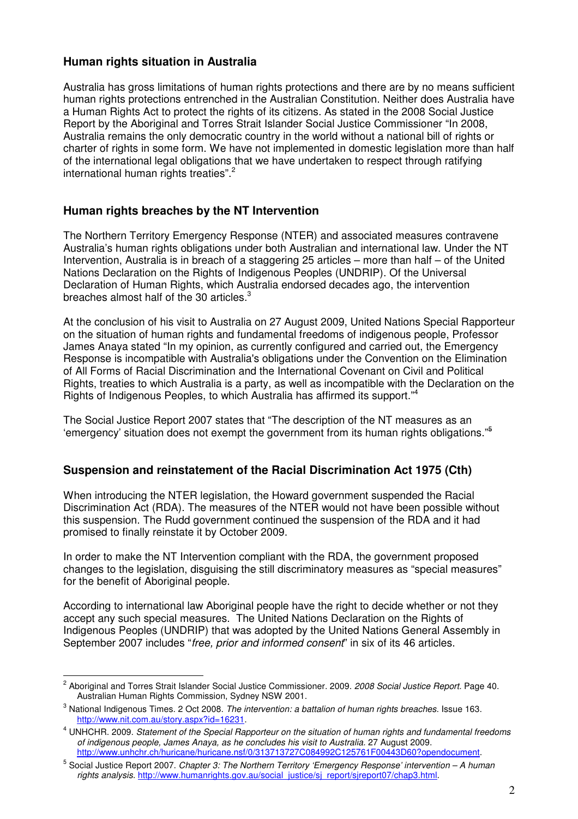## **Human rights situation in Australia**

Australia has gross limitations of human rights protections and there are by no means sufficient human rights protections entrenched in the Australian Constitution. Neither does Australia have a Human Rights Act to protect the rights of its citizens. As stated in the 2008 Social Justice Report by the Aboriginal and Torres Strait Islander Social Justice Commissioner "In 2008, Australia remains the only democratic country in the world without a national bill of rights or charter of rights in some form. We have not implemented in domestic legislation more than half of the international legal obligations that we have undertaken to respect through ratifying international human rights treaties".<sup>2</sup>

#### **Human rights breaches by the NT Intervention**

The Northern Territory Emergency Response (NTER) and associated measures contravene Australia's human rights obligations under both Australian and international law. Under the NT Intervention, Australia is in breach of a staggering 25 articles – more than half – of the United Nations Declaration on the Rights of Indigenous Peoples (UNDRIP). Of the Universal Declaration of Human Rights, which Australia endorsed decades ago, the intervention breaches almost half of the 30 articles.<sup>3</sup>

At the conclusion of his visit to Australia on 27 August 2009, United Nations Special Rapporteur on the situation of human rights and fundamental freedoms of indigenous people, Professor James Anaya stated "In my opinion, as currently configured and carried out, the Emergency Response is incompatible with Australia's obligations under the Convention on the Elimination of All Forms of Racial Discrimination and the International Covenant on Civil and Political Rights, treaties to which Australia is a party, as well as incompatible with the Declaration on the Rights of Indigenous Peoples, to which Australia has affirmed its support."<sup>4</sup>

The Social Justice Report 2007 states that "The description of the NT measures as an 'emergency' situation does not exempt the government from its human rights obligations."<sup>5</sup>

#### **Suspension and reinstatement of the Racial Discrimination Act 1975 (Cth)**

When introducing the NTER legislation, the Howard government suspended the Racial Discrimination Act (RDA). The measures of the NTER would not have been possible without this suspension. The Rudd government continued the suspension of the RDA and it had promised to finally reinstate it by October 2009.

In order to make the NT Intervention compliant with the RDA, the government proposed changes to the legislation, disguising the still discriminatory measures as "special measures" for the benefit of Aboriginal people.

According to international law Aboriginal people have the right to decide whether or not they accept any such special measures. The United Nations Declaration on the Rights of Indigenous Peoples (UNDRIP) that was adopted by the United Nations General Assembly in September 2007 includes "*free, prior and informed consent*" in six of its 46 articles.

 $\overline{a}$ 

<sup>2</sup> Aboriginal and Torres Strait Islander Social Justice Commissioner. 2009. *2008 Social Justice Report.* Page 40. Australian Human Rights Commission, Sydney NSW 2001.

<sup>3</sup> National Indigenous Times. 2 Oct 2008. *The intervention: a battalion of human rights breaches*. Issue 163. http://www.nit.com.au/story.aspx?id=16231.

<sup>4</sup> UNHCHR. 2009. *Statement of the Special Rapporteur on the situation of human rights and fundamental freedoms of indigenous people, James Anaya, as he concludes his visit to Australia.* 27 August 2009. http://www.unhchr.ch/huricane/huricane.nsf/0/313713727C084992C125761F00443D60?opendocument.

<sup>5</sup> Social Justice Report 2007. *Chapter 3: The Northern Territory 'Emergency Response' intervention – A human rights analysis.* http://www.humanrights.gov.au/social\_justice/sj\_report/sjreport07/chap3.html.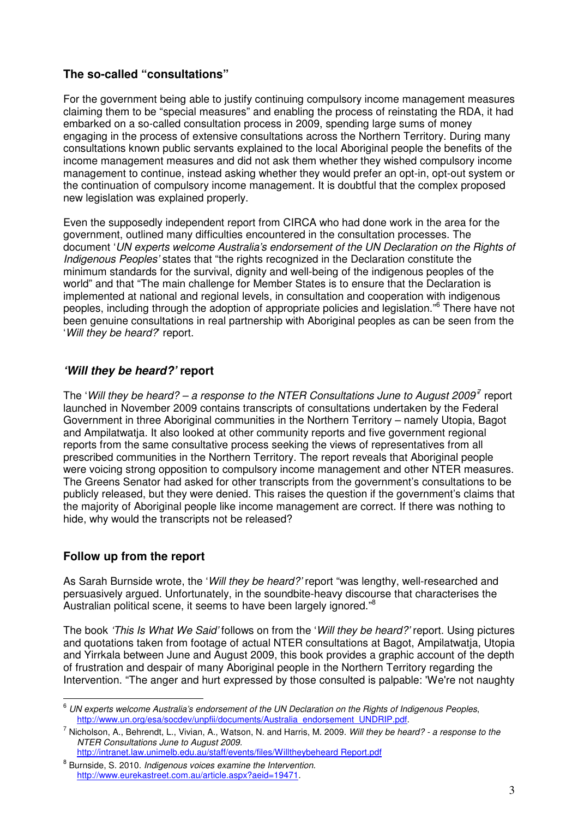## **The so-called "consultations"**

For the government being able to justify continuing compulsory income management measures claiming them to be "special measures" and enabling the process of reinstating the RDA, it had embarked on a so-called consultation process in 2009, spending large sums of money engaging in the process of extensive consultations across the Northern Territory. During many consultations known public servants explained to the local Aboriginal people the benefits of the income management measures and did not ask them whether they wished compulsory income management to continue, instead asking whether they would prefer an opt-in, opt-out system or the continuation of compulsory income management. It is doubtful that the complex proposed new legislation was explained properly.

Even the supposedly independent report from CIRCA who had done work in the area for the government, outlined many difficulties encountered in the consultation processes. The document '*UN experts welcome Australia's endorsement of the UN Declaration on the Rights of Indigenous Peoples'* states that "the rights recognized in the Declaration constitute the minimum standards for the survival, dignity and well-being of the indigenous peoples of the world" and that "The main challenge for Member States is to ensure that the Declaration is implemented at national and regional levels, in consultation and cooperation with indigenous peoples, including through the adoption of appropriate policies and legislation."<sup>6</sup> There have not been genuine consultations in real partnership with Aboriginal peoples as can be seen from the '*Will they be heard?*' report.

# **'Will they be heard?' report**

The 'Will they be heard? – a response to the NTER Consultations June to August 2009<sup>7</sup> report launched in November 2009 contains transcripts of consultations undertaken by the Federal Government in three Aboriginal communities in the Northern Territory – namely Utopia, Bagot and Ampilatwatja. It also looked at other community reports and five government regional reports from the same consultative process seeking the views of representatives from all prescribed communities in the Northern Territory. The report reveals that Aboriginal people were voicing strong opposition to compulsory income management and other NTER measures. The Greens Senator had asked for other transcripts from the government's consultations to be publicly released, but they were denied. This raises the question if the government's claims that the majority of Aboriginal people like income management are correct. If there was nothing to hide, why would the transcripts not be released?

#### **Follow up from the report**

 $\overline{a}$ 

As Sarah Burnside wrote, the '*Will they be heard?'* report "was lengthy, well-researched and persuasively argued. Unfortunately, in the soundbite-heavy discourse that characterises the Australian political scene, it seems to have been largely ignored."<sup>8</sup>

The book *'This Is What We Said'* follows on from the '*Will they be heard?'* report. Using pictures and quotations taken from footage of actual NTER consultations at Bagot, Ampilatwatja, Utopia and Yirrkala between June and August 2009, this book provides a graphic account of the depth of frustration and despair of many Aboriginal people in the Northern Territory regarding the Intervention. "The anger and hurt expressed by those consulted is palpable: 'We're not naughty

<sup>6</sup> *UN experts welcome Australia's endorsement of the UN Declaration on the Rights of Indigenous Peoples*, http://www.un.org/esa/socdev/unpfii/documents/Australia\_endorsement\_UNDRIP.pdf.

<sup>7</sup> Nicholson, A., Behrendt, L., Vivian, A., Watson, N. and Harris, M. 2009. *Will they be heard? - a response to the NTER Consultations June to August 2009.*

http://intranet.law.unimelb.edu.au/staff/events/files/Willtheybeheard Report.pdf

<sup>8</sup> Burnside, S. 2010. *Indigenous voices examine the Intervention*. http://www.eurekastreet.com.au/article.aspx?aeid=19471.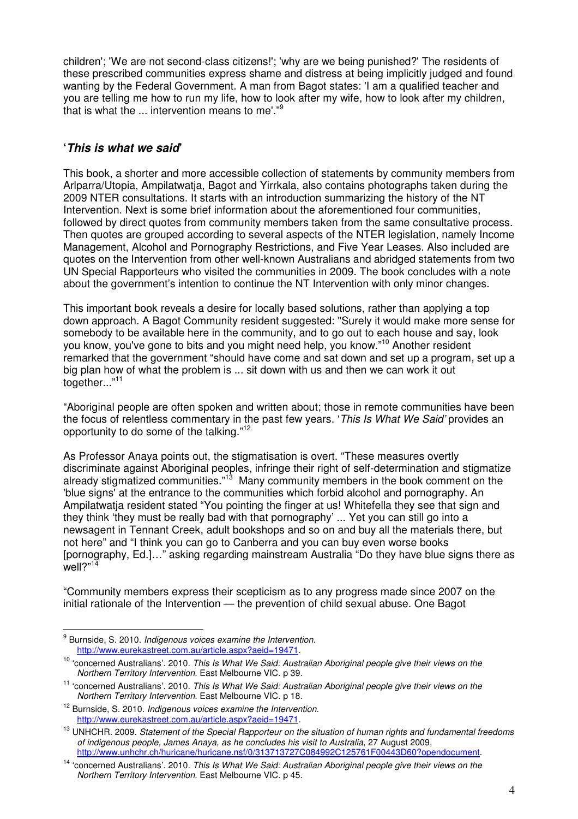children'; 'We are not second-class citizens!'; 'why are we being punished?' The residents of these prescribed communities express shame and distress at being implicitly judged and found wanting by the Federal Government. A man from Bagot states: 'I am a qualified teacher and you are telling me how to run my life, how to look after my wife, how to look after my children, that is what the ... intervention means to me'."<sup>9</sup>

## **'This is what we said'**

This book, a shorter and more accessible collection of statements by community members from Arlparra/Utopia, Ampilatwatja, Bagot and Yirrkala, also contains photographs taken during the 2009 NTER consultations. It starts with an introduction summarizing the history of the NT Intervention. Next is some brief information about the aforementioned four communities, followed by direct quotes from community members taken from the same consultative process. Then quotes are grouped according to several aspects of the NTER legislation, namely Income Management, Alcohol and Pornography Restrictions, and Five Year Leases. Also included are quotes on the Intervention from other well-known Australians and abridged statements from two UN Special Rapporteurs who visited the communities in 2009. The book concludes with a note about the government's intention to continue the NT Intervention with only minor changes.

This important book reveals a desire for locally based solutions, rather than applying a top down approach. A Bagot Community resident suggested: "Surely it would make more sense for somebody to be available here in the community, and to go out to each house and say, look you know, you've gone to bits and you might need help, you know."<sup>10</sup> Another resident remarked that the government "should have come and sat down and set up a program, set up a big plan how of what the problem is ... sit down with us and then we can work it out together..*.*" 11

"Aboriginal people are often spoken and written about; those in remote communities have been the focus of relentless commentary in the past few years. '*This Is What We Said'* provides an opportunity to do some of the talking."<sup>12</sup>

As Professor Anaya points out, the stigmatisation is overt. "These measures overtly discriminate against Aboriginal peoples, infringe their right of self-determination and stigmatize discriminate against received propries, increase their region of the book comment on the already stigmatized communities."<sup>13</sup> Many community members in the book comment on the 'blue signs' at the entrance to the communities which forbid alcohol and pornography. An Ampilatwatja resident stated "You pointing the finger at us! Whitefella they see that sign and they think 'they must be really bad with that pornography' ... Yet you can still go into a newsagent in Tennant Creek, adult bookshops and so on and buy all the materials there, but not here" and "I think you can go to Canberra and you can buy even worse books [pornography, Ed.]…" asking regarding mainstream Australia "Do they have blue signs there as  $\text{well}$ ?"<sup>14</sup>

"Community members express their scepticism as to any progress made since 2007 on the initial rationale of the Intervention — the prevention of child sexual abuse. One Bagot

l.

<sup>9</sup> Burnside, S. 2010. *Indigenous voices examine the Intervention*. http://www.eurekastreet.com.au/article.aspx?aeid=19471.

<sup>10</sup> 'concerned Australians'. 2010. *This Is What We Said: Australian Aboriginal people give their views on the Northern Territory Intervention*. East Melbourne VIC. p 39.

<sup>11</sup> 'concerned Australians'. 2010. *This Is What We Said: Australian Aboriginal people give their views on the Northern Territory Intervention*. East Melbourne VIC. p 18.

<sup>12</sup> Burnside, S. 2010. *Indigenous voices examine the Intervention*. http://www.eurekastreet.com.au/article.aspx?aeid=19471.

<sup>13</sup> UNHCHR. 2009. *Statement of the Special Rapporteur on the situation of human rights and fundamental freedoms of indigenous people, James Anaya, as he concludes his visit to Australia*, 27 August 2009, http://www.unhchr.ch/huricane/huricane.nsf/0/313713727C084992C125761F00443D60?opendocument.

<sup>14</sup> 'concerned Australians'. 2010. *This Is What We Said: Australian Aboriginal people give their views on the Northern Territory Intervention*. East Melbourne VIC. p 45.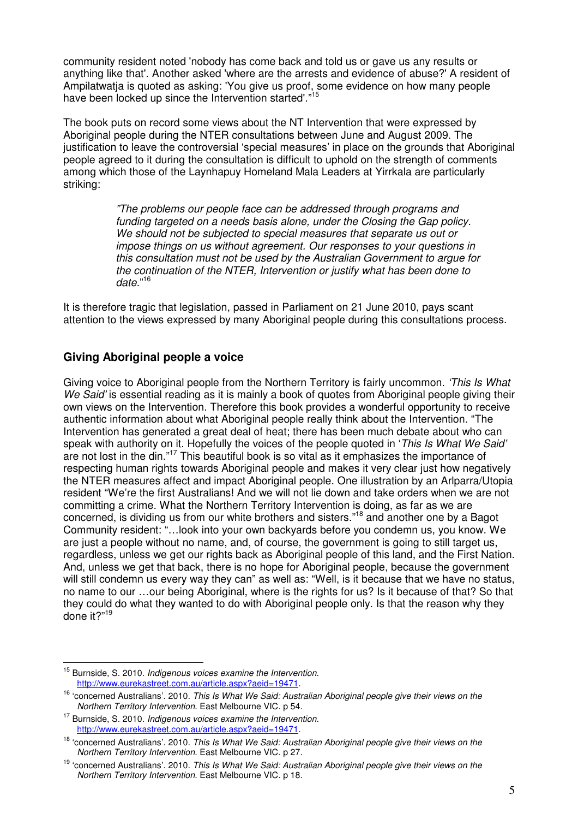community resident noted 'nobody has come back and told us or gave us any results or anything like that'. Another asked 'where are the arrests and evidence of abuse?' A resident of Ampilatwatja is quoted as asking: 'You give us proof, some evidence on how many people have been locked up since the Intervention started'."<sup>15</sup>

The book puts on record some views about the NT Intervention that were expressed by Aboriginal people during the NTER consultations between June and August 2009. The justification to leave the controversial 'special measures' in place on the grounds that Aboriginal people agreed to it during the consultation is difficult to uphold on the strength of comments among which those of the Laynhapuy Homeland Mala Leaders at Yirrkala are particularly striking:

> *"The problems our people face can be addressed through programs and funding targeted on a needs basis alone, under the Closing the Gap policy. We should not be subjected to special measures that separate us out or impose things on us without agreement. Our responses to your questions in this consultation must not be used by the Australian Government to argue for the continuation of the NTER, Intervention or justify what has been done to date.*" 16

It is therefore tragic that legislation, passed in Parliament on 21 June 2010, pays scant attention to the views expressed by many Aboriginal people during this consultations process.

# **Giving Aboriginal people a voice**

Giving voice to Aboriginal people from the Northern Territory is fairly uncommon. *'This Is What We Said'* is essential reading as it is mainly a book of quotes from Aboriginal people giving their own views on the Intervention. Therefore this book provides a wonderful opportunity to receive authentic information about what Aboriginal people really think about the Intervention. "The Intervention has generated a great deal of heat; there has been much debate about who can speak with authority on it. Hopefully the voices of the people quoted in '*This Is What We Said'* are not lost in the din."<sup>17</sup> This beautiful book is so vital as it emphasizes the importance of respecting human rights towards Aboriginal people and makes it very clear just how negatively the NTER measures affect and impact Aboriginal people. One illustration by an Arlparra/Utopia resident "We're the first Australians! And we will not lie down and take orders when we are not committing a crime. What the Northern Territory Intervention is doing, as far as we are concerned, is dividing us from our white brothers and sisters."<sup>18</sup> and another one by a Bagot Community resident: "…look into your own backyards before you condemn us, you know. We are just a people without no name, and, of course, the government is going to still target us, regardless, unless we get our rights back as Aboriginal people of this land, and the First Nation. And, unless we get that back, there is no hope for Aboriginal people, because the government will still condemn us every way they can" as well as: "Well, is it because that we have no status, no name to our …our being Aboriginal, where is the rights for us? Is it because of that? So that they could do what they wanted to do with Aboriginal people only. Is that the reason why they done it?"<sup>19</sup>

 $\overline{a}$ 

<sup>15</sup> Burnside, S. 2010. *Indigenous voices examine the Intervention*. http://www.eurekastreet.com.au/article.aspx?aeid=19471.

<sup>16</sup> 'concerned Australians'. 2010. *This Is What We Said: Australian Aboriginal people give their views on the Northern Territory Intervention*. East Melbourne VIC. p 54.

<sup>17</sup> Burnside, S. 2010. *Indigenous voices examine the Intervention*. http://www.eurekastreet.com.au/article.aspx?aeid=19471.

<sup>18</sup> 'concerned Australians'. 2010. *This Is What We Said: Australian Aboriginal people give their views on the Northern Territory Intervention*. East Melbourne VIC. p 27.

<sup>19</sup> 'concerned Australians'. 2010. *This Is What We Said: Australian Aboriginal people give their views on the Northern Territory Intervention*. East Melbourne VIC. p 18.